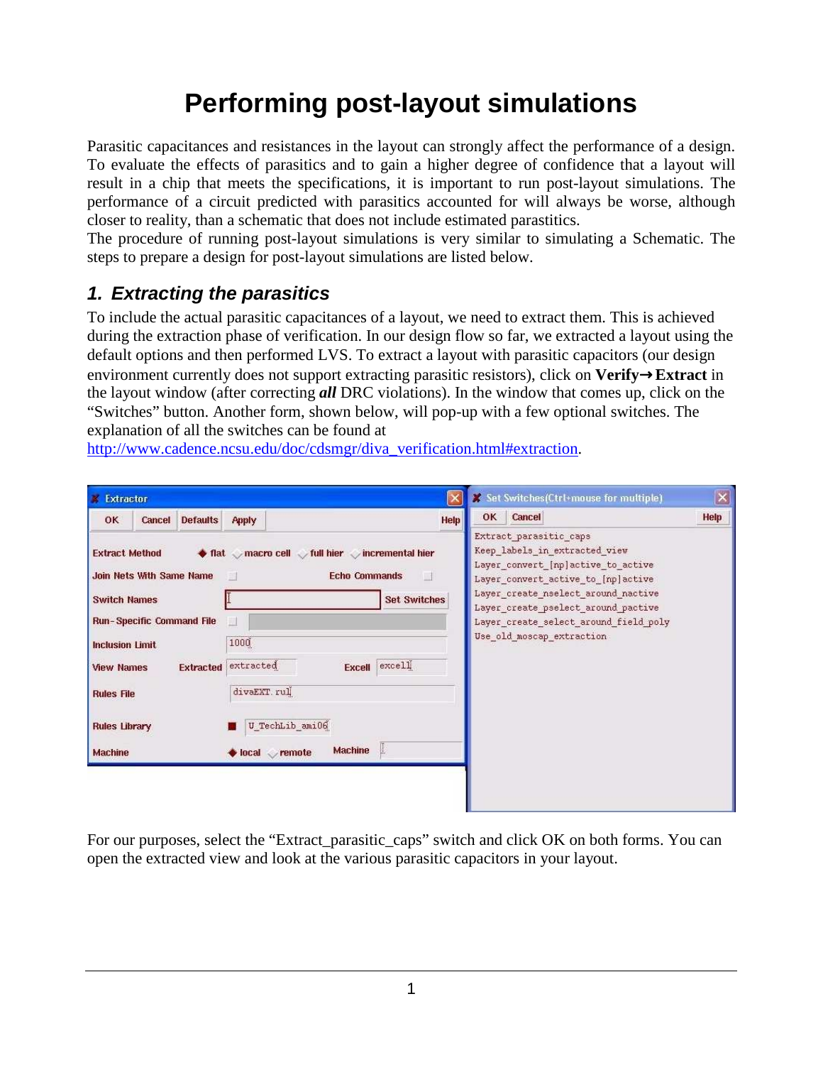## **Performing post-layout simulations**

Parasitic capacitances and resistances in the layout can strongly affect the performance of a design. To evaluate the effects of parasitics and to gain a higher degree of confidence that a layout will result in a chip that meets the specifications, it is important to run post-layout simulations. The performance of a circuit predicted with parasitics accounted for will always be worse, although closer to reality, than a schematic that does not include estimated parastitics.

The procedure of running post-layout simulations is very similar to simulating a Schematic. The steps to prepare a design for post-layout simulations are listed below.

## **1. Extracting the parasitics**

To include the actual parasitic capacitances of a layout, we need to extract them. This is achieved during the extraction phase of verification. In our design flow so far, we extracted a layout using the default options and then performed LVS. To extract a layout with parasitic capacitors (our design environment currently does not support extracting parasitic resistors), click on **Verify**→**Extract** in the layout window (after correcting *all* DRC violations). In the window that comes up, click on the "Switches" button. Another form, shown below, will pop-up with a few optional switches. The explanation of all the switches can be found at

http://www.cadence.ncsu.edu/doc/cdsmgr/diva\_verification.html#extraction.

| <b>Extractor</b>                                                                                                    |                                                                                                       | X Set Switches (Ctrl+mouse for multiple)                                                                                                                                                                                                                   | $\overline{[{\bm{x}}]}$ |  |
|---------------------------------------------------------------------------------------------------------------------|-------------------------------------------------------------------------------------------------------|------------------------------------------------------------------------------------------------------------------------------------------------------------------------------------------------------------------------------------------------------------|-------------------------|--|
| OK<br><b>Defaults</b><br>Cancel                                                                                     | Help<br><b>Apply</b>                                                                                  | OK<br><b>Cancel</b>                                                                                                                                                                                                                                        | Help                    |  |
| <b>Extract Method</b><br><b>Join Nets With Same Name</b><br><b>Switch Names</b><br><b>Run-Specific Command File</b> | ♦ flat macro cell tull hier incremental hier<br><b>Echo Commands</b><br>图<br>Ħ<br><b>Set Switches</b> | Extract parasitic caps<br>Keep labels in extracted view<br>Layer convert [np]active to active<br>Layer_convert_active_to_[np]active<br>Layer create nselect around nactive<br>Layer create pselect around pactive<br>Layer_create_select_around_field_poly |                         |  |
| <b>Inclusion Limit</b><br><b>Extracted</b><br><b>View Names</b>                                                     | 1000<br>extracted<br>Excell excell                                                                    | Use old moscap extraction                                                                                                                                                                                                                                  |                         |  |
| <b>Rules File</b>                                                                                                   | divaEXT.rul                                                                                           |                                                                                                                                                                                                                                                            |                         |  |
| <b>Rules Library</b>                                                                                                | U TechLib ami06                                                                                       |                                                                                                                                                                                                                                                            |                         |  |
|                                                                                                                     | L<br><b>Machine</b><br>local remote                                                                   |                                                                                                                                                                                                                                                            |                         |  |

For our purposes, select the "Extract parasitic caps" switch and click OK on both forms. You can open the extracted view and look at the various parasitic capacitors in your layout.